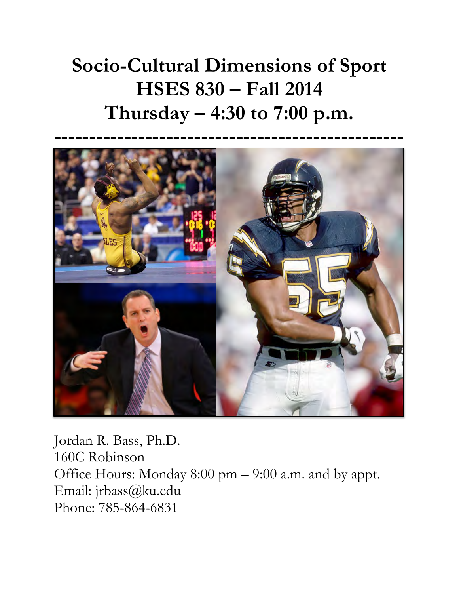# **Socio-Cultural Dimensions of Sport HSES 830 – Fall 2014 Thursday – 4:30 to 7:00 p.m.**



Jordan R. Bass, Ph.D. 160C Robinson Office Hours: Monday 8:00 pm – 9:00 a.m. and by appt. Email: jrbass@ku.edu Phone: 785-864-6831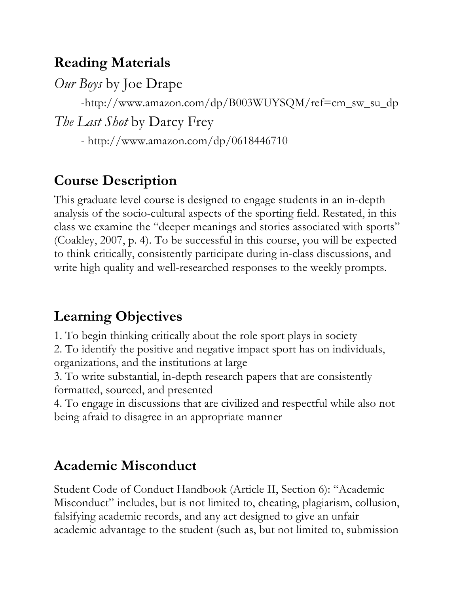#### **Reading Materials**

*Our Boys* by Joe Drape

-http://www.amazon.com/dp/B003WUYSQM/ref=cm\_sw\_su\_dp

*The Last Shot* by Darcy Frey

- http://www.amazon.com/dp/0618446710

#### **Course Description**

This graduate level course is designed to engage students in an in-depth analysis of the socio-cultural aspects of the sporting field. Restated, in this class we examine the "deeper meanings and stories associated with sports" (Coakley, 2007, p. 4). To be successful in this course, you will be expected to think critically, consistently participate during in-class discussions, and write high quality and well-researched responses to the weekly prompts.

## **Learning Objectives**

1. To begin thinking critically about the role sport plays in society 2. To identify the positive and negative impact sport has on individuals, organizations, and the institutions at large

3. To write substantial, in-depth research papers that are consistently formatted, sourced, and presented

4. To engage in discussions that are civilized and respectful while also not being afraid to disagree in an appropriate manner

#### **Academic Misconduct**

Student Code of Conduct Handbook (Article II, Section 6): "Academic Misconduct" includes, but is not limited to, cheating, plagiarism, collusion, falsifying academic records, and any act designed to give an unfair academic advantage to the student (such as, but not limited to, submission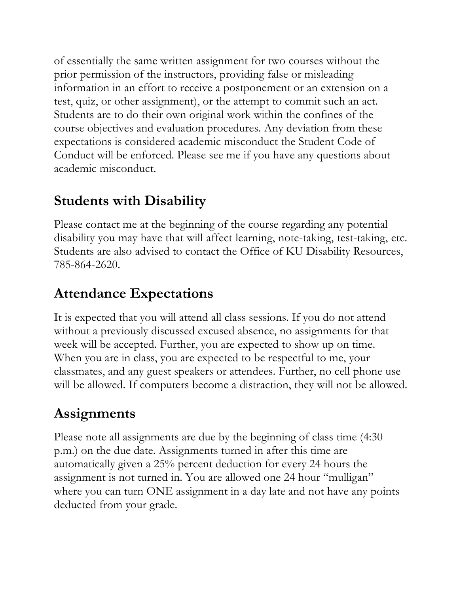of essentially the same written assignment for two courses without the prior permission of the instructors, providing false or misleading information in an effort to receive a postponement or an extension on a test, quiz, or other assignment), or the attempt to commit such an act. Students are to do their own original work within the confines of the course objectives and evaluation procedures. Any deviation from these expectations is considered academic misconduct the Student Code of Conduct will be enforced. Please see me if you have any questions about academic misconduct.

## **Students with Disability**

Please contact me at the beginning of the course regarding any potential disability you may have that will affect learning, note-taking, test-taking, etc. Students are also advised to contact the Office of KU Disability Resources, 785-864-2620.

# **Attendance Expectations**

It is expected that you will attend all class sessions. If you do not attend without a previously discussed excused absence, no assignments for that week will be accepted. Further, you are expected to show up on time. When you are in class, you are expected to be respectful to me, your classmates, and any guest speakers or attendees. Further, no cell phone use will be allowed. If computers become a distraction, they will not be allowed.

# **Assignments**

Please note all assignments are due by the beginning of class time (4:30 p.m.) on the due date. Assignments turned in after this time are automatically given a 25% percent deduction for every 24 hours the assignment is not turned in. You are allowed one 24 hour "mulligan" where you can turn ONE assignment in a day late and not have any points deducted from your grade.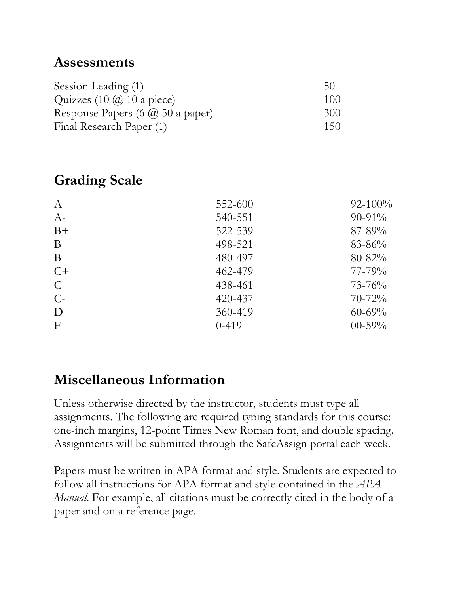#### **Assessments**

| Session Leading (1)                     | 50  |
|-----------------------------------------|-----|
| Quizzes $(10 \omega, 10 \omega)$ piece) | 100 |
| Response Papers (6 $\omega$ 50 a paper) | 300 |
| Final Research Paper (1)                | 150 |

#### **Grading Scale**

| $A-$<br>540-551<br>$B+$<br>522-539<br>B<br>498-521<br>$B-$<br>480-497<br>$C+$<br>462-479<br>$\mathcal{C}$<br>438-461<br>$C-$<br>420-437<br>360-419<br>D<br>$\mathbf{F}$<br>$0-419$ | $\boldsymbol{A}$ | 552-600 | $92 - 100\%$ |
|------------------------------------------------------------------------------------------------------------------------------------------------------------------------------------|------------------|---------|--------------|
|                                                                                                                                                                                    |                  |         | $90-91\%$    |
|                                                                                                                                                                                    |                  |         | $87 - 89\%$  |
|                                                                                                                                                                                    |                  |         | $83 - 86\%$  |
|                                                                                                                                                                                    |                  |         | $80 - 82\%$  |
|                                                                                                                                                                                    |                  |         | $77 - 79\%$  |
|                                                                                                                                                                                    |                  |         | $73 - 76%$   |
|                                                                                                                                                                                    |                  |         | $70 - 72\%$  |
|                                                                                                                                                                                    |                  |         | $60 - 69\%$  |
|                                                                                                                                                                                    |                  |         | $00 - 59\%$  |

## **Miscellaneous Information**

Unless otherwise directed by the instructor, students must type all assignments. The following are required typing standards for this course: one-inch margins, 12-point Times New Roman font, and double spacing. Assignments will be submitted through the SafeAssign portal each week.

Papers must be written in APA format and style. Students are expected to follow all instructions for APA format and style contained in the *APA Manual*. For example, all citations must be correctly cited in the body of a paper and on a reference page.